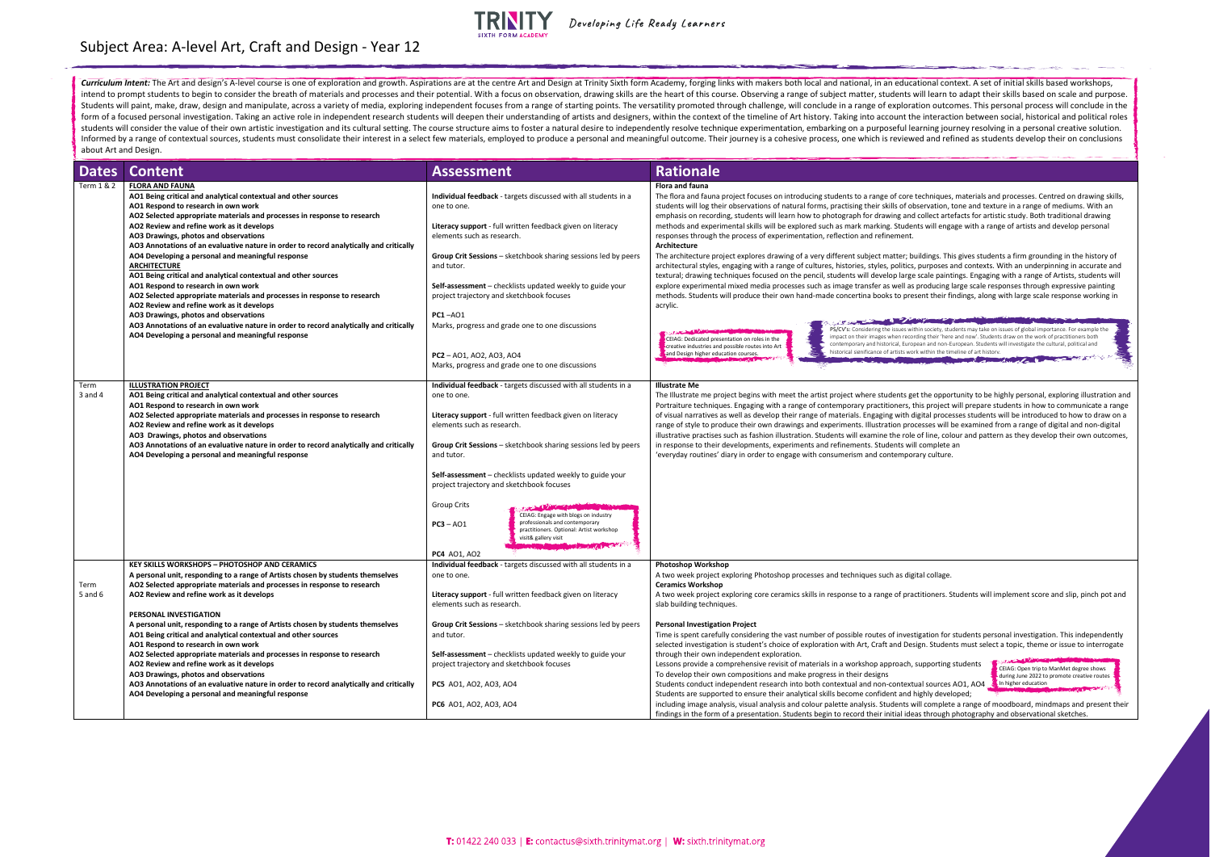Curriculum Intent: The Art and design's A-level course is one of exploration and growth. Aspirations are at the centre Art and Design at Trinity Sixth form Academy, forging links with makers both local and national, in an intend to prompt students to begin to consider the breath of materials and processes and their potential. With a focus on observation, drawing skills are the heart of this course. Observing a range of subject matter, stude Students will paint, make, draw, design and manipulate, across a variety of media, exploring independent focuses from a range of starting points. The versatility promoted through challenge, will conclude in a range of expl form of a focused personal investigation. Taking an active role in independent research students will deepen their understanding of artists and designers, within the context of the timeline of Art history. Taking into acco students will consider the value of their own artistic investigation and its cultural setting. The course structure aims to foster a natural desire to independently resolve technique experimentation, embarking on a purpose Informed by a range of contextual sources, students must consolidate their interest in a select few materials, employed to produce a personal and meaningful outcome. Their journey is a cohesive process, one which is review about Art and Design.

| <b>Dates</b>      | <b>Content</b>                                                                                                                                    | <b>Assessment</b>                                                                                             | <b>Rationale</b>                                                                                                                                                                                                                              |
|-------------------|---------------------------------------------------------------------------------------------------------------------------------------------------|---------------------------------------------------------------------------------------------------------------|-----------------------------------------------------------------------------------------------------------------------------------------------------------------------------------------------------------------------------------------------|
| Term 1 & 2        | <b>FLORA AND FAUNA</b>                                                                                                                            |                                                                                                               | <b>Flora and fauna</b>                                                                                                                                                                                                                        |
|                   | AO1 Being critical and analytical contextual and other sources                                                                                    | Individual feedback - targets discussed with all students in a                                                | The flora and fauna project focuses on introducing students to a range of core techniques, materials and processes. Ce                                                                                                                        |
|                   | AO1 Respond to research in own work                                                                                                               | one to one.                                                                                                   | students will log their observations of natural forms, practising their skills of observation, tone and texture in a range of                                                                                                                 |
|                   | AO2 Selected appropriate materials and processes in response to research                                                                          |                                                                                                               | emphasis on recording, students will learn how to photograph for drawing and collect artefacts for artistic study. Both                                                                                                                       |
|                   | AO2 Review and refine work as it develops                                                                                                         | Literacy support - full written feedback given on literacy                                                    | methods and experimental skills will be explored such as mark marking. Students will engage with a range of artists an                                                                                                                        |
|                   | AO3 Drawings, photos and observations                                                                                                             | elements such as research.                                                                                    | responses through the process of experimentation, reflection and refinement.                                                                                                                                                                  |
|                   | AO3 Annotations of an evaluative nature in order to record analytically and critically                                                            |                                                                                                               | Architecture                                                                                                                                                                                                                                  |
|                   | AO4 Developing a personal and meaningful response                                                                                                 | <b>Group Crit Sessions</b> – sketchbook sharing sessions led by peers                                         | The architecture project explores drawing of a very different subject matter; buildings. This gives students a firm grour                                                                                                                     |
|                   | ARCHITECTURE                                                                                                                                      | and tutor.                                                                                                    | architectural styles, engaging with a range of cultures, histories, styles, politics, purposes and contexts. With an under                                                                                                                    |
|                   | AO1 Being critical and analytical contextual and other sources                                                                                    |                                                                                                               | textural; drawing techniques focused on the pencil, students will develop large scale paintings. Engaging with a range<br>explore experimental mixed media processes such as image transfer as well as producing large scale responses throug |
|                   | AO1 Respond to research in own work<br>AO2 Selected appropriate materials and processes in response to research                                   | <b>Self-assessment</b> – checklists updated weekly to guide your<br>project trajectory and sketchbook focuses | methods. Students will produce their own hand-made concertina books to present their findings, along with large scal                                                                                                                          |
|                   | AO2 Review and refine work as it develops                                                                                                         |                                                                                                               | acrylic.                                                                                                                                                                                                                                      |
|                   | AO3 Drawings, photos and observations                                                                                                             | <b>PC1-A01</b>                                                                                                |                                                                                                                                                                                                                                               |
|                   | AO3 Annotations of an evaluative nature in order to record analytically and critically                                                            | Marks, progress and grade one to one discussions                                                              |                                                                                                                                                                                                                                               |
|                   | AO4 Developing a personal and meaningful response                                                                                                 |                                                                                                               | PS/CV's: Considering the issues within society, students may take on issues of global imp<br>impact on their images when recording their 'here and now'. Students draw on the work                                                            |
|                   |                                                                                                                                                   |                                                                                                               | CEIAG: Dedicated presentation on roles in the<br>contemporary and historical, European and non-European. Students will investigate the<br>creative industries and possible routes into Art                                                    |
|                   |                                                                                                                                                   | <b>PC2</b> - AO1, AO2, AO3, AO4                                                                               | historical significance of artists work within the timeline of art historv.<br>and Design higher education courses.                                                                                                                           |
|                   |                                                                                                                                                   | Marks, progress and grade one to one discussions                                                              |                                                                                                                                                                                                                                               |
|                   |                                                                                                                                                   |                                                                                                               |                                                                                                                                                                                                                                               |
| Term              | <b>ILLUSTRATION PROJECT</b>                                                                                                                       | Individual feedback - targets discussed with all students in a                                                | <b>Illustrate Me</b>                                                                                                                                                                                                                          |
| $3$ and $4$       | AO1 Being critical and analytical contextual and other sources                                                                                    | one to one.                                                                                                   | The Illustrate me project begins with meet the artist project where students get the opportunity to be highly personal,                                                                                                                       |
|                   | AO1 Respond to research in own work                                                                                                               |                                                                                                               | Portraiture techniques. Engaging with a range of contemporary practitioners, this project will prepare students in how                                                                                                                        |
|                   | AO2 Selected appropriate materials and processes in response to research                                                                          | Literacy support - full written feedback given on literacy                                                    | of visual narratives as well as develop their range of materials. Engaging with digital processes students will be introdu                                                                                                                    |
|                   | AO2 Review and refine work as it develops                                                                                                         | elements such as research.                                                                                    | range of style to produce their own drawings and experiments. Illustration processes will be examined from a range of                                                                                                                         |
|                   | AO3 Drawings, photos and observations                                                                                                             |                                                                                                               | illustrative practises such as fashion illustration. Students will examine the role of line, colour and pattern as they deve                                                                                                                  |
|                   | AO3 Annotations of an evaluative nature in order to record analytically and critically                                                            | Group Crit Sessions - sketchbook sharing sessions led by peers                                                | in response to their developments, experiments and refinements. Students will complete an                                                                                                                                                     |
|                   | AO4 Developing a personal and meaningful response                                                                                                 | and tutor.                                                                                                    | 'everyday routines' diary in order to engage with consumerism and contemporary culture.                                                                                                                                                       |
|                   |                                                                                                                                                   |                                                                                                               |                                                                                                                                                                                                                                               |
|                   |                                                                                                                                                   | Self-assessment - checklists updated weekly to guide your                                                     |                                                                                                                                                                                                                                               |
|                   |                                                                                                                                                   | project trajectory and sketchbook focuses                                                                     |                                                                                                                                                                                                                                               |
|                   |                                                                                                                                                   |                                                                                                               |                                                                                                                                                                                                                                               |
|                   |                                                                                                                                                   | <b>Group Crits</b>                                                                                            |                                                                                                                                                                                                                                               |
|                   |                                                                                                                                                   | CEIAG: Engage with blogs on industry<br>professionals and contemporary                                        |                                                                                                                                                                                                                                               |
|                   |                                                                                                                                                   | $PC3 - AO1$<br>practitioners. Optional: Artist workshop                                                       |                                                                                                                                                                                                                                               |
|                   |                                                                                                                                                   | visit& gallery visit                                                                                          |                                                                                                                                                                                                                                               |
|                   |                                                                                                                                                   |                                                                                                               |                                                                                                                                                                                                                                               |
|                   |                                                                                                                                                   | <b>PC4</b> AO1, AO2                                                                                           |                                                                                                                                                                                                                                               |
|                   | <b>KEY SKILLS WORKSHOPS - PHOTOSHOP AND CERAMICS</b>                                                                                              | Individual feedback - targets discussed with all students in a                                                | <b>Photoshop Workshop</b>                                                                                                                                                                                                                     |
|                   | A personal unit, responding to a range of Artists chosen by students themselves                                                                   | one to one.                                                                                                   | A two week project exploring Photoshop processes and techniques such as digital collage.                                                                                                                                                      |
| Term<br>5 and $6$ | AO2 Selected appropriate materials and processes in response to research                                                                          | Literacy support - full written feedback given on literacy                                                    | <b>Ceramics Workshop</b><br>A two week project exploring core ceramics skills in response to a range of practitioners. Students will implement scor                                                                                           |
|                   | AO2 Review and refine work as it develops                                                                                                         | elements such as research.                                                                                    | slab building techniques.                                                                                                                                                                                                                     |
|                   | PERSONAL INVESTIGATION                                                                                                                            |                                                                                                               |                                                                                                                                                                                                                                               |
|                   |                                                                                                                                                   |                                                                                                               | <b>Personal Investigation Project</b>                                                                                                                                                                                                         |
|                   | A personal unit, responding to a range of Artists chosen by students themselves<br>AO1 Being critical and analytical contextual and other sources | <b>Group Crit Sessions</b> – sketchbook sharing sessions led by peers                                         | Time is spent carefully considering the vast number of possible routes of investigation for students personal investigat                                                                                                                      |
|                   | AO1 Respond to research in own work                                                                                                               | and tutor.                                                                                                    | selected investigation is student's choice of exploration with Art, Craft and Design. Students must select a topic, theme                                                                                                                     |
|                   | AO2 Selected appropriate materials and processes in response to research                                                                          | Self-assessment – checklists updated weekly to guide your                                                     | through their own independent exploration.                                                                                                                                                                                                    |
|                   | AO2 Review and refine work as it develops                                                                                                         | project trajectory and sketchbook focuses                                                                     | <b>STANDARD WARDEN</b><br>Lessons provide a comprehensive revisit of materials in a workshop approach, supporting students                                                                                                                    |
|                   | AO3 Drawings, photos and observations                                                                                                             |                                                                                                               | CEIAG: Open trip to<br>To develop their own compositions and make progress in their designs                                                                                                                                                   |
|                   | AO3 Annotations of an evaluative nature in order to record analytically and critically                                                            | <b>PC5</b> A01, A02, A03, A04                                                                                 | during June 2022 to<br>In higher education<br>Students conduct independent research into both contextual and non-contextual sources AO1, AO4                                                                                                  |
|                   | AO4 Developing a personal and meaningful response                                                                                                 |                                                                                                               | Students are supported to ensure their analytical skills become confident and highly developed;                                                                                                                                               |
|                   |                                                                                                                                                   | <b>PC6</b> AO1, AO2, AO3, AO4                                                                                 | including image analysis, visual analysis and colour palette analysis. Students will complete a range of moodboard, mir                                                                                                                       |
|                   |                                                                                                                                                   |                                                                                                               | findings in the form of a presentation. Students begin to record their initial ideas through photography and observatio                                                                                                                       |
|                   |                                                                                                                                                   |                                                                                                               |                                                                                                                                                                                                                                               |

techniques, materials and processes. Centred on drawing skills, servation, tone and texture in a range of mediums. With an collect artefacts for artistic study. Both traditional drawing nts will engage with a range of artists and develop personal

uildings. This gives students a firm grounding in the history of purposes and contexts. With an underpinning in accurate and cultures, purposes and contexts. With an underpinning in accurate and scale paintings. Engaging with a range of Artists, students will producing large scale responses through expressive painting sent their findings, along with large scale response working in

**William Communication** PS/CV's: Considering the issues within society, students may take on issues of global importance. For example the ding their 'here and now'. Students draw on the work of practitioners both ean and non-European. Students will investigate the cultural, political and **h** k within the timeline of art history. **PERSONAL STATE** 



tt the opportunity to be highly personal, exploring illustration and his project will prepare students in how to communicate a range igital processes students will be introduced to how to draw on a cesses will be examined from a range of digital and non-digital of line, colour and pattern as they develop their own outcomes, I complete an ary culture.

ctitioners. Students will implement score and slip, pinch pot and

tigation for students personal investigation. This independently ign. Students must select a topic, theme or issue to interrogate

## Subject Area: A-level Art, Craft and Design - Year 12



Developing Life Ready Learners

CEIAG: Open trip to ManMet degree shows during June 2022 to promote creative routes

ill complete a range of moodboard, mindmaps and present their as through photography and observational sketches.